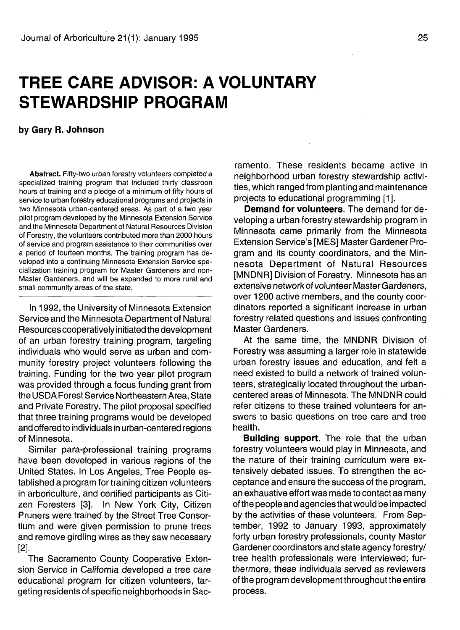# **TREE CARE ADVISOR: A VOLUNTARY STEWARDSHIP PROGRAM**

### **by Gary R. Johnson**

**Abstract.** Fifty-two urban forestry volunteers completed a specialized training program that included thirty classroon hours of training and a pledge of a minimum of fifty hours of service to urban forestry educational programs and projects in two Minnesota urban-centered areas. As part of a two year pilot program developed by the Minnesota Extension Service and the Minnesota Department of Natural Resources Division of Forestry, the volunteers contributed more than 2000 hours of service and program assistance to their communities over a period of fourteen months. The training program has developed into a continuing Minnesota Extension Service specialization training program for Master Gardeners and non-Master Gardeners, and will be expanded to more rural and small community areas of the state.

In 1992, the University of Minnesota Extension Service and the Minnesota Department of Natural Resources cooperatively initiated the development of an urban forestry training program, targeting individuals who would serve as urban and community forestry project volunteers following the training. Funding for the two year pilot program was provided through a focus funding grant from the USDA Forest Service Northeastern Area, State and Private Forestry. The pilot proposal specified that three training programs would be developed and offered to individuals in urban-centered regions of Minnesota.

Similar para-professional training programs have been developed in various regions of the United States. In Los Angeles, Tree People established a program for training citizen volunteers in arboriculture, and certified participants as Citizen Foresters [3]. In New York City, Citizen Pruners were trained by the Street Tree Consortium and were given permission to prune trees and remove girdling wires as they saw necessary [2].

The Sacramento County Cooperative Extension Service in California developed a tree care educational program for citizen volunteers, targeting residents of specific neighborhoods in Sac-

ramento. These residents became active in neighborhood urban forestry stewardship activities, which ranged from planting and maintenance projects to educational programming [1].

**Demand for volunteers.** The demand for developing a urban forestry stewardship program in Minnesota came primarily from the Minnesota Extension Service's [MES] Master Gardener Program and its county coordinators, and the Minnesota Department of Natural Resources [MNDNR] Division of Forestry. Minnesota has an extensive network of volunteer Master Gardeners, over 1200 active members, and the county coordinators reported a significant increase in urban forestry related questions and issues confronting Master Gardeners.

At the same time, the MNDNR Division of Forestry was assuming a larger role in statewide urban forestry issues and education, and felt a need existed to build a network of trained volunteers, strategically located throughout the urbancentered areas of Minnesota. The MNDNR could refer citizens to these trained volunteers for answers to basic questions on tree care and tree health.

**Building support.** The role that the urban forestry volunteers would play in Minnesota, and the nature of their training curriculum were extensively debated issues. To strengthen the acceptance and ensure the success of the program, an exhaustive effort was made to contact as many of the people and agencies that would be impacted by the activities of these volunteers. From September, 1992 to January 1993, approximately forty urban forestry professionals, county Master Gardener coordinators and state agency forestry/ tree health professionals were interviewed; furthermore, these individuals served as reviewers of the program development throughout the entire process.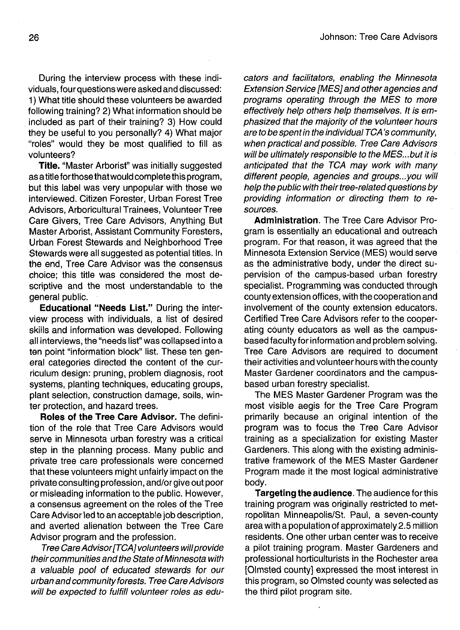During the interview process with these individuals, four questions were asked and discussed: 1) What title should these volunteers be awarded following training? 2) What information should be included as part of their training? 3) How could they be useful to you personally? 4) What major "roles" would they be most qualified to fill as volunteers?

**Title.** "Master Arborist" was initially suggested as a title forthose that would complete this program, but this label was very unpopular with those we interviewed. Citizen Forester, Urban Forest Tree Advisors, Arboricultural Trainees, Volunteer Tree Care Givers, Tree Care Advisors, Anything But Master Arborist, Assistant Community Foresters, Urban Forest Stewards and Neighborhood Tree Stewards were all suggested as potential titles. In the end, Tree Care Advisor was the consensus choice; this title was considered the most descriptive and the most understandable to the general public.

**Educational "Needs List."** During the interview process with individuals, a list of desired skills and information was developed. Following all interviews, the "needs list" was collapsed into a ten point "information block" list. These ten general categories directed the content of the curriculum design: pruning,, problem diagnosis, root systems, planting techniques, educating groups, plant selection, construction damage, soils, winter protection, and hazard trees.

**Roles of the Tree Care Advisor.** The definition of the role that Tree Care Advisors would serve in Minnesota urban forestry was a critical step in the planning process. Many public and private tree care professionals were concerned that these volunteers might unfairly impact on the private consulting profession, and/or give out poor or misleading information to the public. However, a consensus agreement on the roles of the Tree Care Advisor led to an acceptable job description, and averted alienation between the Tree Care Advisor program and the profession.

Tree Care Advisor [TCA] volunteers will provide their communities and the State of Minnesota with a valuable pool of educated stewards for our urban and community forests. Tree Care Advisors will be expected to fulfill volunteer roles as educators and facilitators, enabling the Minnesota Extension Service [MES] and other agencies and programs operating through the MES to more effectively help others help themselves. It is emphasized that the majority of the volunteer hours are to be spent in the individual TCA's community, when practical and possible. Tree Care Advisors will be ultimately responsible to the MES...but it is anticipated that the TCA may work with many different people, agencies and groups...you will help the public with their tree-related questions by providing information or directing them to resources.

**Administration.** The Tree Care Advisor Program is essentially an educational and outreach program. For that reason, it was agreed that the Minnesota Extension Service (MES) would serve as the administrative body, under the direct supervision of the campus-based urban forestry specialist. Programming was conducted through county extension offices, with the cooperation and involvement of the county extension educators. Certified Tree Care Advisors refer to the cooperating county educators as well as the campusbased faculty for information and problem solving. Tree Care Advisors are required to document their activities and volunteer hours with the county Master Gardener coordinators and the campusbased urban forestry specialist.

The MES Master Gardener Program was the most visible aegis for the Tree Care Program primarily because an original intention of the program was to focus the Tree Care Advisor training as a specialization for existing Master Gardeners. This along with the existing administrative framework of the MES Master Gardener Program made it the most logical administrative body.

**Targeting the audience.** The audience for this training program was originally restricted to metropolitan Minneapolis/St. Paul, a seven-county area with a population of approximately 2.5 million residents. One other urban center was to receive a pilot training program. Master Gardeners and professional horticulturists in the Rochester area [Olmsted county] expressed the most interest in this program, so Olmsted county was selected as the third pilot program site.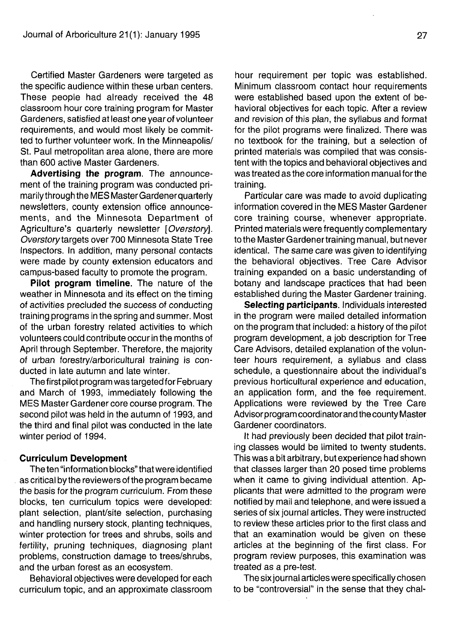Certified Master Gardeners were targeted as the specific audience within these urban centers. These people had already received the 48 classroom hour core training program for Master Gardeners, satisfied at least one year of volunteer requirements, and would most likely be committed to further volunteer work. In the Minneapolis/ St. Paul metropolitan area alone, there are more than 600 active Master Gardeners.

**Advertising the program.** The announcement of the training program was conducted primarily through the MES Master Gardener quarterly newsletters, county extension office announcements, and the Minnesota Department of Agriculture's quarterly newsletter [Overstory]. Overstory targets over 700 Minnesota State Tree Inspectors. In addition, many personal contacts were made by county extension educators and campus-based faculty to promote the program.

**Pilot program timeline.** The nature of the weather in Minnesota and its effect on the timing of activities precluded the success of conducting training programs in the spring and summer. Most of the urban forestry related activities to which volunteers could contribute occur in the months of April through September. Therefore, the majority of urban forestry/arboricultural training is conducted in late autumn and late winter.

The first pilot program was targeted for February and March of 1993, immediately following the MES Master Gardener core course program. The second pilot was held in the autumn of 1993, and the third and final pilot was conducted in the late winter period of 1994.

#### **Curriculum Development**

The ten "information blocks" that were identified as critical by the reviewers of the program became the basis for the program curriculum. From these blocks, ten curriculum topics were developed: plant selection, plant/site selection, purchasing and handling nursery stock, planting techniques, winter protection for trees and shrubs, soils and fertility, pruning techniques, diagnosing plant problems, construction damage to trees/shrubs, and the urban forest as an ecosystem.

Behavioral objectives were developed for each curriculum topic, and an approximate classroom hour requirement per topic was established. Minimum classroom contact hour requirements were established based upon the extent of behavioral objectives for each topic. After a review and revision of this plan, the syllabus and format for the pilot programs were finalized. There was no textbook for the training, but a selection of printed materials was compiled that was consistent with the topics and behavioral objectives and was treated as the core information manual for the training.

Particular care was made to avoid duplicating information covered in the MES Master Gardener core training course, whenever appropriate. Printed materials were frequently complementary to the Master Gardener training manual, but never identical. The same care was given to identifying the behavioral objectives. Tree Care Advisor training expanded on a basic understanding of botany and landscape practices that had been established during the Master Gardener training.

**Selecting participants.** Individuals interested in the program were mailed detailed information on the program that included: a history of the pilot program development, a job description for Tree Care Advisors, detailed explanation of the volunteer hours requirement, a syllabus and class schedule, a questionnaire about the individual's previous horticultural experience and education, an application form, and the fee requirement. Applications were reviewed by the Tree Care Advisor program coordinator and the county Master Gardener coordinators.

It had previously been decided that pilot training classes would be limited to twenty students. This was a bit arbitrary, but experience had shown that classes larger than 20 posed time problems when it came to giving individual attention. Applicants that were admitted to the program were notified by mail and telephone, and were issued a series of six journal articles. They were instructed to review these articles prior to the first class and that an examination would be given on these articles at the beginning of the first class. For program review purposes, this examination was treated as a pre-test.

The six journal articles were specifically chosen to be "controversial" in the sense that they chal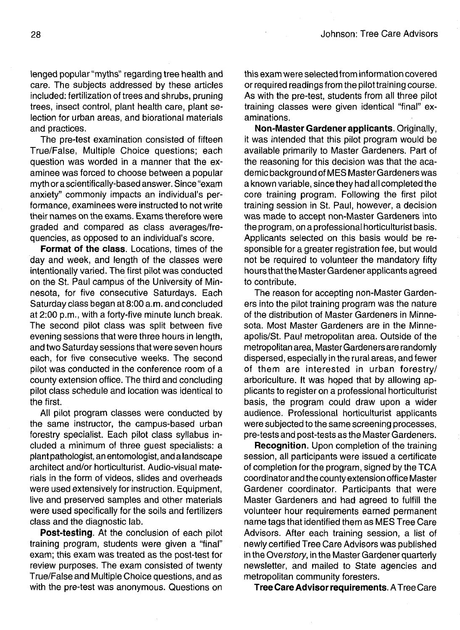lenged popular "myths" regarding tree health and care. The subjects addressed by these articles included: fertilization of trees and shrubs, pruning trees, insect control, plant health care, plant selection for urban areas, and biorational materials and practices.

The pre-test examination consisted of fifteen True/False, Multiple Choice questions; each question was worded in a manner that the examinee was forced to choose between a popular myth or a scientifically-based answer. Since "exam anxiety" commonly impacts an individual's performance, examinees were instructed to not write their names on the exams. Exams therefore were graded and compared as class averages/frequencies, as opposed to an individual's score.

**Format of the class.** Locations, times of the day and week, and length of the classes were intentionally varied. The first pilot was conducted on the St. Paul campus of the University of Minnesota, for five consecutive Saturdays. Each Saturday class began at 8:00 a.m. and concluded at 2:00 p.m., with a forty-five minute lunch break. The second pilot class was split between five evening sessions that were three hours in length, and two Saturday sessions that were seven hours each, for five consecutive weeks. The second pilot was conducted in the conference room of a county extension office. The third and concluding pilot class schedule and location was identical to the first.

All pilot program classes were conducted by the same instructor, the campus-based urban forestry specialist. Each pilot class syllabus included a minimum of three guest specialists: a plant pathologist, an entomologist, and a landscape architect and/or horticulturist. Audio-visual materials in the form of videos, slides and overheads were used extensively for instruction. Equipment, live and preserved samples and other materials were used specifically for the soils and fertilizers class and the diagnostic lab.

**Post-testing.** At the conclusion of each pilot training program, students were given a "final" exam; this exam was treated as the post-test for review purposes. The exam consisted of twenty True/False and Multiple Choice questions, and as with the pre-test was anonymous. Questions on this exam were selected from information covered or required readings from the pilot training course. As with the pre-test, students from all three pilot training classes were given identical "final" examinations.

**Non-Master Gardener applicants.** Originally, it was intended that this pilot program would be available primarily to Master Gardeners. Part of the reasoning for this decision was that the academic background of MES Master Gardeners was a known variable, since they had all completed the core training program. Following the first pilot training session in St. Paul, however, a decision was made to accept non-Master Gardeners into the program, on a professional horticulturist basis. Applicants selected on this basis would be responsible for a greater registration fee, but would not be required to volunteer the mandatory fifty hours that the Master Gardener applicants agreed to contribute.

The reason for accepting non-Master Gardeners into the pilot training program was the nature of the distribution of Master Gardeners in Minnesota. Most Master Gardeners are in the Minneapolis/St. Paul metropolitan area. Outside of the metropolitan area, MasterGardenersare randomly dispersed, especially in the rural areas, and fewer of them are interested in urban forestry/ arboriculture. It was hoped that by allowing applicants to register on a professional horticulturist basis, the program could draw upon a wider audience. Professional horticulturist applicants were subjected to the same screening processes, pre-tests and post-tests as the Master Gardeners.

**Recognition.** Upon completion of the training session, all participants were issued a certificate of completion for the program, signed by the TCA coordinator and the county extension office Master Gardener coordinator. Participants that were Master Gardeners and had agreed to fulfill the volunteer hour requirements earned permanent name tags that identified them as MES Tree Care Advisors. After each training session, a list of newly certified Tree Care Advisors was published in the Oversfory, in the Master Gardener quarterly newsletter, and mailed to State agencies and metropolitan community foresters.

**Tree Care Advisor requirements.** A Tree Care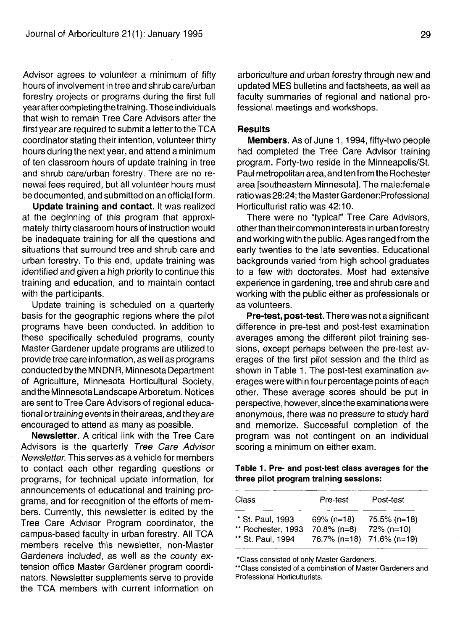Advisor agrees to volunteer a minimum of fifty hours of involvement in tree and shrub care/urban forestry projects or programs during the first full year aftercompleting the training. Those individuals that wish to remain Tree Care Advisors after the first year are required to submit a letter to the TCA coordinator stating their intention, volunteer thirty hours during the next year, and attend a minimum of ten classroom hours of update training in tree and shrub care/urban forestry. There are no renewal fees required, but all volunteer hours must be documented, and submitted on an official form.

Update training and contact. It was realized at the beginning of this program that approximately thirty classroom hours of instruction would be inadequate training for all the questions and situations that surround tree and shrub care and urban forestry. To this end, update training was identified and given a high priority to continue this training and education, and to maintain contact with the participants.

Update training is scheduled on a quarterly basis for the geographic regions where the pilot programs have been conducted. In addition to these specifically scheduled programs, county Master Gardener update programs are utilized to provide tree care information, as well as programs conducted by the MNDNR, Minnesota Department of Agriculture, Minnesota Horticultural Society, and the Minnesota Landscape Arboretum. Notices are sent to Tree Care Advisors of regional educational or training events in their areas, and they are encouraged to attend as many as possible.

**Newsletter.** A critical link with the Tree Care Advisors is the quarterly Tree Care Advisor Newsletter. This serves as a vehicle for members to contact each other regarding questions or programs, for technical update information, for announcements of educational and training programs, and for recognition of the efforts of members. Currently, this newsletter is edited by the Tree Care Advisor Program coordinator, the campus-based faculty in urban forestry. All TCA members receive this newsletter, non-Master Gardeners included, as well as the county extension office Master Gardener program coordinators. Newsletter supplements serve to provide the TCA members with current information on

arboriculture and urban forestry through new and updated MES bulletins and factsheets, as well as faculty summaries of regional and national professional meetings and workshops.

## **Results**

**Members.** As of June 1, 1994, fifty-two people had completed the Tree Care Advisor training program. Forty-two reside in the Minneapolis/St. Paul metropolitan area, and ten from the Rochester area [southeastern Minnesota]. The male:female ratio was 28:24; the Master Gardener: Professional Horticulturist ratio was 42:10.

There were no "typical" Tree Care Advisors, other than their common interests in urban forestry and working with the public. Ages ranged from the early twenties to the late seventies. Educational backgrounds varied from high school graduates to a few with doctorates. Most had extensive experience in gardening, tree and shrub care and working with the public either as professionals or as volunteers.

**Pre-test, post-test.** There was not a significant difference in pre-test and post-test examination averages among the different pilot training sessions, except perhaps between the pre-test averages of the first pilot session and the third as shown in Table 1. The post-test examination averages were within four percentage points of each other. These average scores should be put in perspective, however, since the examinations were anonymous, there was no pressure to study hard and memorize. Successful completion of the program was not contingent on an individual scoring a minimum on either exam.

Table 1. Pre- and post-test class averages for the three pilot program training sessions:

| Class                                  | Pre-test                        | Post-test                  |
|----------------------------------------|---------------------------------|----------------------------|
| * St. Paul, 1993<br>** Rochester, 1993 | $69\%$ (n=18)<br>$70.8\%$ (n=8) | 75.5% (n=18)<br>72% (n=10) |
| ** St. Paul, 1994                      |                                 | 76.7% (n=18) 71.6% (n=19)  |

'Class consisted of only Master Gardeners.

"Class consisted of a combination of Master Gardeners and Professional Horticulturists.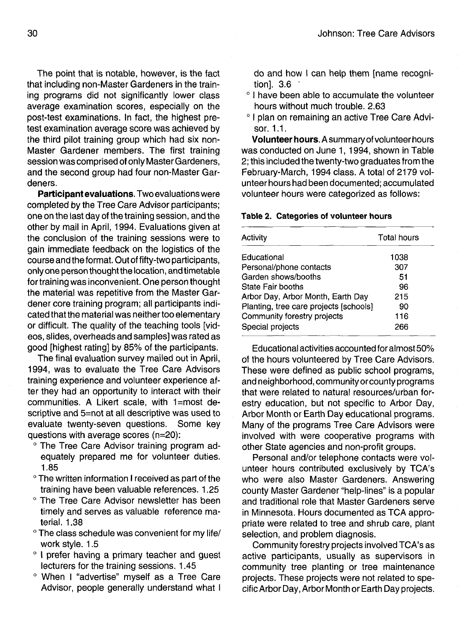The point that is notable, however, is the fact that including non-Master Gardeners in the training programs did not significantly lower class average examination scores, especially on the post-test examinations. In fact, the highest pretest examination average score was achieved by the third pilot training group which had six non-Master Gardener members. The first training session was comprised of only Master Gardeners, and the second group had four non-Master Gardeners.

**Participant evaluations.** Two evaluations were completed by the Tree Care Advisor participants; one on the last day of the training session, and the other by mail in April, 1994. Evaluations given at the conclusion of the training sessions were to gain immediate feedback on the logistics of the course and the format. Out of fifty-two participants, only one person thought the location, and timetable for training was inconvenient. One person thought the material was repetitive from the Master Gardener core training program; all participants indicated that the material was neither too elementary or difficult. The quality of the teaching tools [videos, slides, overheads and samples] was rated as good [highest rating] by 85% of the participants.

The final evaluation survey mailed out in April, 1994, was to evaluate the Tree Care Advisors training experience and volunteer experience after they had an opportunity to interact with their communities. A Likert scale, with 1=most descriptive and 5=not at all descriptive was used to evaluate twenty-seven questions. Some key questions with average scores (n=20):

- <sup>o</sup> The Tree Care Advisor training program adequately prepared me for volunteer duties. 1.85
- ° The written information I received as part of the training have been valuable references. 1.25
- ° The Tree Care Advisor newsletter has been timely and serves as valuable reference material. 1.38
- ° The class schedule was convenient for my life/ work style. 1.5
- o I prefer having a primary teacher and guest lecturers for the training sessions. 1.45
- ° When I "advertise" myself as a Tree Care Advisor, people generally understand what I

do and how I can help them [name recognition]. 3.6 '

- ° I have been able to accumulate the volunteer hours without much trouble. 2.63
- ° I plan on remaining an active Tree Care Advisor. 1.1.

**Volunteer hours.** A summary of volunteer hours was conducted on June 1, 1994, shown in Table 2; this included the twenty-two graduates from the February-March, 1994 class. A total of 2179 volunteer hours had been documented; accumulated volunteer hours were categorized as follows:

#### **Table 2. Categories of volunteer hours**

| Activity                               | <b>Total hours</b> |
|----------------------------------------|--------------------|
| Educational                            | 1038               |
| Personal/phone contacts                | 307                |
| Garden shows/booths                    | 51                 |
| State Fair booths                      | 96                 |
| Arbor Day, Arbor Month, Earth Day      | 215                |
| Planting, tree care projects [schools] | 90                 |
| Community forestry projects            | 116                |
| Special projects                       | 266                |

Educational activities accounted foralmost 50% of the hours volunteered by Tree Care Advisors. These were defined as public school programs, and neighborhood, community or county programs that were related to natural resources/urban forestry education, but not specific to Arbor Day, Arbor Month or Earth Day educational programs. Many of the programs Tree Care Advisors were involved with were cooperative programs with other State agencies and non-profit groups.

Personal and/or telephone contacts were volunteer hours contributed exclusively by TCA's who were also Master Gardeners. Answering county Master Gardener "help-lines" is a popular and traditional role that Master Gardeners serve in Minnesota. Hours documented as TCA appropriate were related to tree and shrub care, plant selection, and problem diagnosis.

Community forestry projects involved TCA's as active participants, usually as supervisors in community tree planting or tree maintenance projects. These projects were not related to specific Arbor Day, Arbor Month or Earth Day projects.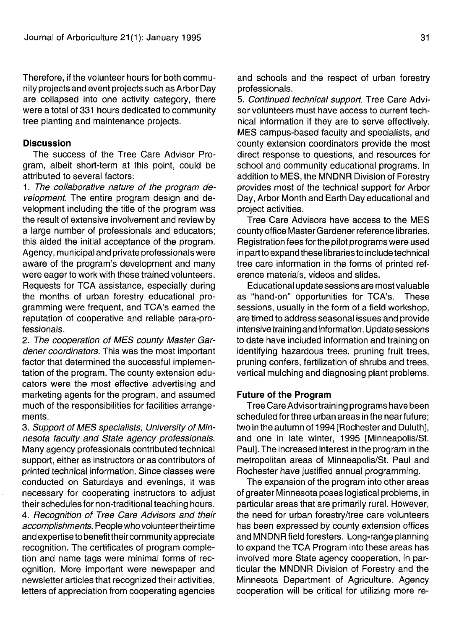Therefore, if the volunteer hours for both community projects and event projects such as Arbor Day are collapsed into one activity category, there were a total of 331 hours dedicated to community tree planting and maintenance projects.

## **Discussion**

The success of the Tree Care Advisor Program, albeit short-term at this point, could be attributed to several factors:

1. The collaborative nature of the program development. The entire program design and development including the title of the program was the result of extensive involvement and review by a large number of professionals and educators; this aided the initial acceptance of the program. Agency, municipal and private professionals were aware of the program's development and many were eager to work with these trained volunteers. Requests for TCA assistance, especially during the months of urban forestry educational programming were frequent, and TCA's earned the reputation of cooperative and reliable para-professionals.

2. The cooperation of MES county Master Gardener coordinators. This was the most important factor that determined the successful implementation of the program. The county extension educators were the most effective advertising and marketing agents for the program, and assumed much of the responsibilities for facilities arrangements.

3. Support of MES specialists, University of Minnesota faculty and State agency professionals. Many agency professionals contributed technical support, either as instructors or as contributors of printed technical information. Since classes were conducted on Saturdays and evenings, it was necessary for cooperating instructors to adjust their schedules for non-traditional teaching hours.

4. Recognition of Tree Care Advisors and their accomplishments. People who volunteertheirtime and expertise to benefit theircommunity appreciate recognition. The certificates of program completion and name tags were minimal forms of recognition. More important were newspaper and newsletter articles that recognized their activities, letters of appreciation from cooperating agencies

and schools and the respect of urban forestry professionals.

5. Continued technical support. Tree Care Advisor volunteers must have access to current technical information if they are to serve effectively. MES campus-based faculty and specialists, and county extension coordinators provide the most direct response to questions, and resources for school and community educational programs. In addition to MES, the MNDNR Division of Forestry provides most of the technical support for Arbor Day, Arbor Month and Earth Day educational and project activities.

Tree Care Advisors have access to the MES county office Master Gardener reference libraries. Registration fees for the pilot programs were used in part to expand these libraries to include technical tree care information in the forms of printed reference materials, videos and slides.

Educational update sessions are most valuable as "hand-on" opportunities for TCA's. These sessions, usually in the form of a field workshop, are timed to address seasonal issues and provide intensive training and information. Update sessions to date have included information and training on identifying hazardous trees, pruning fruit trees, pruning confers, fertilization of shrubs and trees, vertical mulching and diagnosing plant problems.

## **Future of the Program**

Tree Care Advisor training programs have been scheduled for three urban areas in the near future; two in the autumn of 1994 [Rochester and Duluth], and one in late winter, 1995 [Minneapolis/St. Paul], The increased interest in the program in the metropolitan areas of Minneapolis/St. Paul and Rochester have justified annual programming.

The expansion of the program into other areas of greater Minnesota poses logistical problems, in particular areas that are primarily rural. However, the need for urban forestry/tree care volunteers has been expressed by county extension offices and MNDNR field foresters. Long-range planning to expand the TCA Program into these areas has involved more State agency cooperation, in particular the MNDNR Division of Forestry and the Minnesota Department of Agriculture. Agency cooperation will be critical for utilizing more re